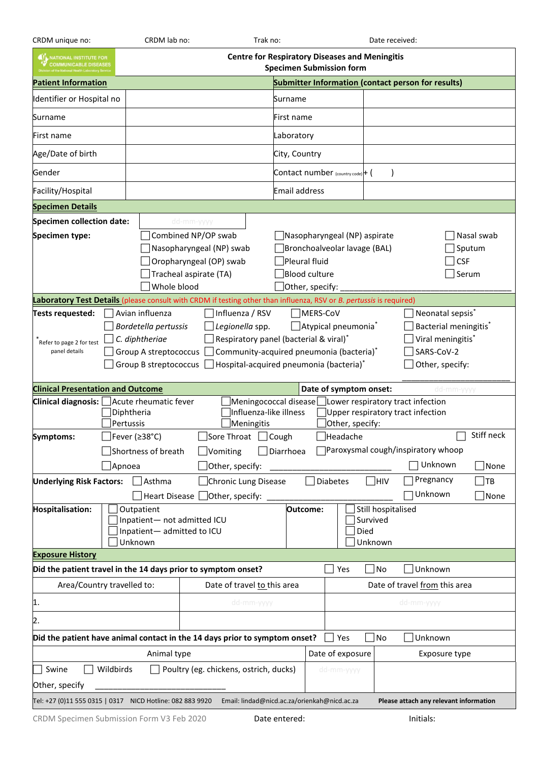| CRDM unique no:                                                                                                                                                                                                                                                                                                                                                                                                                                                                                       | CRDM lab no:<br>Trak no:                                                                                                                                                                                      |                                  |  | Date received:                                                                                                    |                               |                                  |            |                                             |           |
|-------------------------------------------------------------------------------------------------------------------------------------------------------------------------------------------------------------------------------------------------------------------------------------------------------------------------------------------------------------------------------------------------------------------------------------------------------------------------------------------------------|---------------------------------------------------------------------------------------------------------------------------------------------------------------------------------------------------------------|----------------------------------|--|-------------------------------------------------------------------------------------------------------------------|-------------------------------|----------------------------------|------------|---------------------------------------------|-----------|
| <b>Centre for Respiratory Diseases and Meningitis</b><br>IT, NATIONAL INSTITUTE FOR<br>COMMUNICABLE DISEASES<br><b>Specimen Submission form</b>                                                                                                                                                                                                                                                                                                                                                       |                                                                                                                                                                                                               |                                  |  |                                                                                                                   |                               |                                  |            |                                             |           |
| <b>Patient Information</b>                                                                                                                                                                                                                                                                                                                                                                                                                                                                            | <b>Submitter Information (contact person for results)</b>                                                                                                                                                     |                                  |  |                                                                                                                   |                               |                                  |            |                                             |           |
| Identifier or Hospital no                                                                                                                                                                                                                                                                                                                                                                                                                                                                             |                                                                                                                                                                                                               |                                  |  | Surname                                                                                                           |                               |                                  |            |                                             |           |
| Surname                                                                                                                                                                                                                                                                                                                                                                                                                                                                                               |                                                                                                                                                                                                               |                                  |  | First name                                                                                                        |                               |                                  |            |                                             |           |
| First name                                                                                                                                                                                                                                                                                                                                                                                                                                                                                            |                                                                                                                                                                                                               |                                  |  | Laboratory                                                                                                        |                               |                                  |            |                                             |           |
| Age/Date of birth                                                                                                                                                                                                                                                                                                                                                                                                                                                                                     |                                                                                                                                                                                                               |                                  |  | City, Country                                                                                                     |                               |                                  |            |                                             |           |
| Gender                                                                                                                                                                                                                                                                                                                                                                                                                                                                                                |                                                                                                                                                                                                               |                                  |  |                                                                                                                   |                               | Contact number (country code)+ ( |            |                                             |           |
| Facility/Hospital                                                                                                                                                                                                                                                                                                                                                                                                                                                                                     |                                                                                                                                                                                                               |                                  |  | Email address                                                                                                     |                               |                                  |            |                                             |           |
| <b>Specimen Details</b>                                                                                                                                                                                                                                                                                                                                                                                                                                                                               |                                                                                                                                                                                                               |                                  |  |                                                                                                                   |                               |                                  |            |                                             |           |
| Specimen collection date:                                                                                                                                                                                                                                                                                                                                                                                                                                                                             |                                                                                                                                                                                                               | dd-mm-yyyy                       |  |                                                                                                                   |                               |                                  |            |                                             |           |
| Specimen type:                                                                                                                                                                                                                                                                                                                                                                                                                                                                                        | Combined NP/OP swab<br>Nasopharyngeal (NP) swab<br>Oropharyngeal (OP) swab<br>Tracheal aspirate (TA)<br>Whole blood                                                                                           |                                  |  | Nasopharyngeal (NP) aspirate<br>Bronchoalveolar lavage (BAL)<br>Pleural fluid<br>Blood culture<br>Other, specify: |                               |                                  |            | Nasal swab<br>Sputum<br><b>CSF</b><br>Serum |           |
| Laboratory Test Details (please consult with CRDM if testing other than influenza, RSV or B. pertussis is required)                                                                                                                                                                                                                                                                                                                                                                                   |                                                                                                                                                                                                               |                                  |  |                                                                                                                   |                               |                                  |            |                                             |           |
| Influenza / RSV<br>MERS-CoV<br>Neonatal sepsis <sup>*</sup><br>Avian influenza<br>Tests requested:<br>Atypical pneumonia*<br>Bacterial meningitis*<br>Bordetella pertussis<br>Legionella spp.<br>C. diphtheriae<br>Viral meningitis*<br>Respiratory panel (bacterial & viral)*<br>Refer to page 2 for test<br>SARS-CoV-2<br>Community-acquired pneumonia (bacteria)*<br>Group A streptococcus<br>panel details<br>Group B streptococcus<br>Hospital-acquired pneumonia (bacteria)*<br>Other, specify: |                                                                                                                                                                                                               |                                  |  |                                                                                                                   |                               |                                  |            |                                             |           |
| <b>Clinical Presentation and Outcome</b><br>Date of symptom onset:<br>dd-mm-yyyy                                                                                                                                                                                                                                                                                                                                                                                                                      |                                                                                                                                                                                                               |                                  |  |                                                                                                                   |                               |                                  |            |                                             |           |
| Clinical diagnosis:<br>Meningococcal disease Lower respiratory tract infection<br>Acute rheumatic fever<br>Influenza-like illness<br>Upper respiratory tract infection<br>Diphtheria<br>Pertussis<br>Other, specify:<br>Meningitis                                                                                                                                                                                                                                                                    |                                                                                                                                                                                                               |                                  |  |                                                                                                                   |                               |                                  |            |                                             |           |
| Symptoms:<br>Apnoea                                                                                                                                                                                                                                                                                                                                                                                                                                                                                   | Stiff neck<br>□ Fever (≥38°C)<br>□Sore Throat □ Cough<br>$\Box$ Headache<br>□ Paroxysmal cough/inspiratory whoop<br>Diarrhoea<br>Shortness of breath<br>$\Box$ Vomiting<br>Unknown<br>Other, specify:<br>None |                                  |  |                                                                                                                   |                               |                                  |            |                                             |           |
| <b>Underlying Risk Factors:</b>                                                                                                                                                                                                                                                                                                                                                                                                                                                                       | $\Box$ Asthma                                                                                                                                                                                                 | Chronic Lung Disease             |  |                                                                                                                   |                               | Diabetes                         | $\Box$ hiv | Pregnancy                                   | <b>TB</b> |
|                                                                                                                                                                                                                                                                                                                                                                                                                                                                                                       |                                                                                                                                                                                                               | Heart Disease □Other, specify: _ |  |                                                                                                                   |                               |                                  |            | Unknown                                     | None      |
| Hospitalisation:                                                                                                                                                                                                                                                                                                                                                                                                                                                                                      | Outpatient<br>Inpatient- not admitted ICU<br>Inpatient-admitted to ICU<br>Unknown                                                                                                                             |                                  |  | Still hospitalised<br>Outcome:<br>Survived<br>Died<br>Unknown                                                     |                               |                                  |            |                                             |           |
| <b>Exposure History</b>                                                                                                                                                                                                                                                                                                                                                                                                                                                                               |                                                                                                                                                                                                               |                                  |  |                                                                                                                   |                               |                                  |            |                                             |           |
| Did the patient travel in the 14 days prior to symptom onset?                                                                                                                                                                                                                                                                                                                                                                                                                                         |                                                                                                                                                                                                               |                                  |  |                                                                                                                   | No<br>Unknown<br>Yes          |                                  |            |                                             |           |
| Area/Country travelled to:<br>Date of travel to this area                                                                                                                                                                                                                                                                                                                                                                                                                                             |                                                                                                                                                                                                               |                                  |  |                                                                                                                   | Date of travel from this area |                                  |            |                                             |           |
| 11.                                                                                                                                                                                                                                                                                                                                                                                                                                                                                                   |                                                                                                                                                                                                               | dd-mm-yyyy                       |  |                                                                                                                   | dd-mm-yyyy                    |                                  |            |                                             |           |
| 2.                                                                                                                                                                                                                                                                                                                                                                                                                                                                                                    |                                                                                                                                                                                                               |                                  |  |                                                                                                                   |                               |                                  |            |                                             |           |
| Did the patient have animal contact in the 14 days prior to symptom onset?<br>$\exists$ No<br>Unknown<br>Yes                                                                                                                                                                                                                                                                                                                                                                                          |                                                                                                                                                                                                               |                                  |  |                                                                                                                   |                               |                                  |            |                                             |           |
| Date of exposure<br>Animal type<br>Exposure type                                                                                                                                                                                                                                                                                                                                                                                                                                                      |                                                                                                                                                                                                               |                                  |  |                                                                                                                   |                               |                                  |            |                                             |           |
| Wildbirds<br>Poultry (eg. chickens, ostrich, ducks)<br>Swine<br>dd-mm-yyyy<br>Other, specify                                                                                                                                                                                                                                                                                                                                                                                                          |                                                                                                                                                                                                               |                                  |  |                                                                                                                   |                               |                                  |            |                                             |           |
| Tel: +27 (0)11 555 0315   0317 NICD Hotline: 082 883 9920 Email: lindad@nicd.ac.za/orienkah@nicd.ac.za<br>Please attach any relevant information                                                                                                                                                                                                                                                                                                                                                      |                                                                                                                                                                                                               |                                  |  |                                                                                                                   |                               |                                  |            |                                             |           |